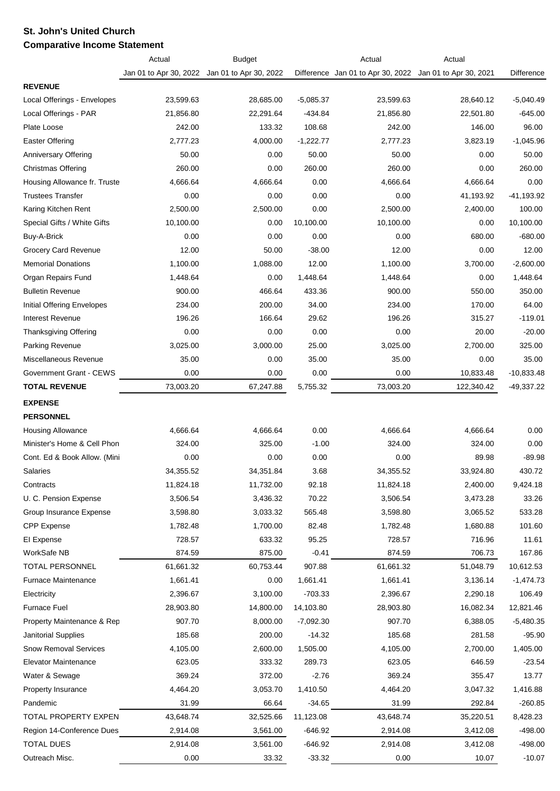## **St. John's United Church Comparative Income Statement**

|                                | Actual                 | <b>Budget</b>          |                      | Actual                            | Actual                 |              |
|--------------------------------|------------------------|------------------------|----------------------|-----------------------------------|------------------------|--------------|
|                                | Jan 01 to Apr 30, 2022 | Jan 01 to Apr 30, 2022 |                      | Difference Jan 01 to Apr 30, 2022 | Jan 01 to Apr 30, 2021 | Difference   |
| <b>REVENUE</b>                 |                        |                        |                      |                                   |                        |              |
| Local Offerings - Envelopes    | 23,599.63              | 28,685.00              | $-5,085.37$          | 23,599.63                         | 28,640.12              | $-5,040.49$  |
| Local Offerings - PAR          | 21,856.80              | 22,291.64              | $-434.84$            | 21,856.80                         | 22,501.80              | $-645.00$    |
| Plate Loose                    | 242.00                 | 133.32                 | 108.68               | 242.00                            | 146.00                 | 96.00        |
| Easter Offering                | 2,777.23               | 4,000.00               | $-1,222.77$          | 2,777.23                          | 3,823.19               | $-1,045.96$  |
| Anniversary Offering           | 50.00                  | 0.00                   | 50.00                | 50.00                             | 0.00                   | 50.00        |
| Christmas Offering             | 260.00                 | 0.00                   | 260.00               | 260.00                            | 0.00                   | 260.00       |
| Housing Allowance fr. Truste   | 4,666.64               | 4,666.64               | 0.00                 | 4,666.64                          | 4,666.64               | 0.00         |
| <b>Trustees Transfer</b>       | 0.00                   | 0.00                   | 0.00                 | 0.00                              | 41,193.92              | $-41,193.92$ |
| Karing Kitchen Rent            | 2,500.00               | 2,500.00               | 0.00                 | 2,500.00                          | 2,400.00               | 100.00       |
| Special Gifts / White Gifts    | 10,100.00              | 0.00                   | 10,100.00            | 10,100.00                         | 0.00                   | 10,100.00    |
| Buy-A-Brick                    | 0.00                   | 0.00                   | 0.00                 | 0.00                              | 680.00                 | $-680.00$    |
| Grocery Card Revenue           | 12.00                  | 50.00                  | $-38.00$             | 12.00                             | 0.00                   | 12.00        |
| <b>Memorial Donations</b>      | 1,100.00               | 1,088.00               | 12.00                | 1,100.00                          | 3,700.00               | $-2,600.00$  |
| Organ Repairs Fund             | 1,448.64               | 0.00                   | 1,448.64             | 1,448.64                          | 0.00                   | 1,448.64     |
| <b>Bulletin Revenue</b>        | 900.00                 | 466.64                 | 433.36               | 900.00                            | 550.00                 | 350.00       |
| Initial Offering Envelopes     | 234.00                 | 200.00                 | 34.00                | 234.00                            | 170.00                 | 64.00        |
| <b>Interest Revenue</b>        | 196.26                 | 166.64                 | 29.62                | 196.26                            | 315.27                 | $-119.01$    |
| Thanksgiving Offering          | 0.00                   | 0.00                   | 0.00                 | 0.00                              | 20.00                  | $-20.00$     |
| Parking Revenue                | 3,025.00               | 3,000.00               | 25.00                | 3,025.00                          | 2,700.00               | 325.00       |
| Miscellaneous Revenue          | 35.00                  | 0.00                   | 35.00                | 35.00                             | 0.00                   | 35.00        |
| Government Grant - CEWS        | 0.00                   | 0.00                   | 0.00                 | 0.00                              | 10,833.48              | $-10,833.48$ |
| <b>TOTAL REVENUE</b>           | 73,003.20              | 67,247.88              | 5,755.32             | 73,003.20                         | 122,340.42             | $-49,337.22$ |
| <b>EXPENSE</b>                 |                        |                        |                      |                                   |                        |              |
| <b>PERSONNEL</b>               |                        |                        |                      |                                   |                        |              |
| <b>Housing Allowance</b>       | 4,666.64               | 4,666.64               | 0.00                 | 4,666.64                          | 4,666.64               | 0.00         |
| Minister's Home & Cell Phon    | 324.00                 | 325.00                 | $-1.00$              | 324.00                            | 324.00                 | 0.00         |
| Cont. Ed & Book Allow. (Mini   | 0.00                   | 0.00                   | 0.00                 | 0.00                              | 89.98                  | $-89.98$     |
| Salaries                       | 34,355.52              | 34,351.84              | 3.68                 | 34,355.52                         | 33,924.80              | 430.72       |
| Contracts                      | 11,824.18              | 11,732.00              | 92.18                | 11,824.18                         | 2,400.00               | 9,424.18     |
| U. C. Pension Expense          | 3,506.54               | 3,436.32               | 70.22                | 3,506.54                          | 3,473.28               | 33.26        |
| Group Insurance Expense        | 3,598.80               | 3,033.32               | 565.48               | 3,598.80                          | 3,065.52               | 533.28       |
| <b>CPP</b> Expense             | 1,782.48               | 1,700.00               | 82.48                | 1,782.48                          | 1,680.88               | 101.60       |
| El Expense                     | 728.57                 | 633.32                 | 95.25                | 728.57                            | 716.96                 | 11.61        |
| WorkSafe NB                    | 874.59                 | 875.00                 | $-0.41$              | 874.59                            | 706.73                 | 167.86       |
| TOTAL PERSONNEL                | 61,661.32              | 60,753.44              | 907.88               | 61,661.32                         | 51,048.79              | 10,612.53    |
| <b>Furnace Maintenance</b>     | 1,661.41               | 0.00                   | 1,661.41             | 1,661.41                          | 3,136.14               | $-1,474.73$  |
| Electricity                    | 2,396.67               | 3,100.00               | $-703.33$            | 2,396.67                          | 2,290.18               | 106.49       |
| <b>Furnace Fuel</b>            | 28,903.80              | 14,800.00              | 14,103.80            | 28,903.80                         | 16,082.34              | 12,821.46    |
| Property Maintenance & Rep     | 907.70                 | 8,000.00               | $-7,092.30$          | 907.70                            | 6,388.05               | $-5,480.35$  |
| Janitorial Supplies            | 185.68                 | 200.00                 | $-14.32$             | 185.68                            | 281.58                 | $-95.90$     |
| <b>Snow Removal Services</b>   | 4,105.00               | 2,600.00               | 1,505.00             | 4,105.00                          | 2,700.00               | 1,405.00     |
| Elevator Maintenance           | 623.05                 | 333.32                 | 289.73               | 623.05                            | 646.59                 | $-23.54$     |
| Water & Sewage                 | 369.24                 | 372.00                 | $-2.76$              | 369.24                            | 355.47                 | 13.77        |
|                                |                        |                        |                      |                                   |                        |              |
| Property Insurance<br>Pandemic | 4,464.20<br>31.99      | 3,053.70<br>66.64      | 1,410.50<br>$-34.65$ | 4,464.20<br>31.99                 | 3,047.32               | 1,416.88     |
|                                |                        |                        |                      |                                   | 292.84                 | $-260.85$    |
| TOTAL PROPERTY EXPEN           | 43,648.74              | 32,525.66              | 11,123.08            | 43,648.74                         | 35,220.51              | 8,428.23     |
| Region 14-Conference Dues      | 2,914.08               | 3,561.00               | $-646.92$            | 2,914.08                          | 3,412.08               | $-498.00$    |
| <b>TOTAL DUES</b>              | 2,914.08               | 3,561.00               | $-646.92$            | 2,914.08                          | 3,412.08               | $-498.00$    |
| Outreach Misc.                 | 0.00                   | 33.32                  | $-33.32$             | 0.00                              | 10.07                  | $-10.07$     |